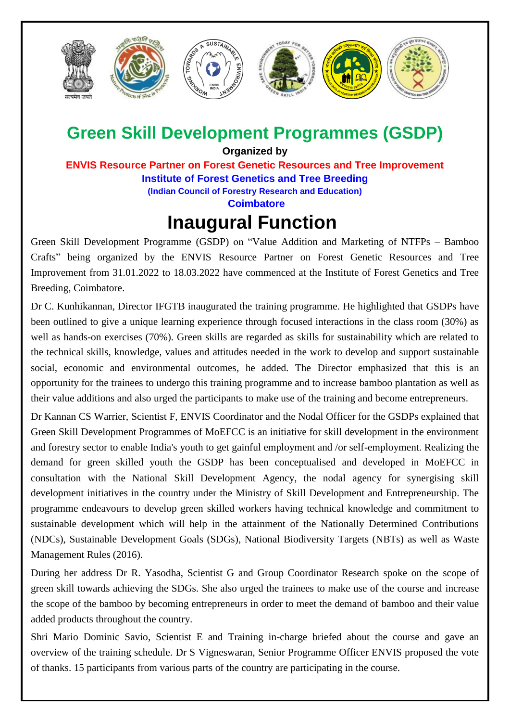

## **Green Skill Development Programmes (GSDP)**

**Organized by**

**ENVIS Resource Partner on Forest Genetic Resources and Tree Improvement Institute of Forest Genetics and Tree Breeding (Indian Council of Forestry Research and Education)**

**Coimbatore**

## **Inaugural Function**

Green Skill Development Programme (GSDP) on "Value Addition and Marketing of NTFPs – Bamboo Crafts" being organized by the ENVIS Resource Partner on Forest Genetic Resources and Tree Improvement from 31.01.2022 to 18.03.2022 have commenced at the Institute of Forest Genetics and Tree Breeding, Coimbatore.

Dr C. Kunhikannan, Director IFGTB inaugurated the training programme. He highlighted that GSDPs have been outlined to give a unique learning experience through focused interactions in the class room (30%) as well as hands-on exercises (70%). Green skills are regarded as skills for sustainability which are related to the technical skills, knowledge, values and attitudes needed in the work to develop and support sustainable social, economic and environmental outcomes, he added. The Director emphasized that this is an opportunity for the trainees to undergo this training programme and to increase bamboo plantation as well as their value additions and also urged the participants to make use of the training and become entrepreneurs.

Dr Kannan CS Warrier, Scientist F, ENVIS Coordinator and the Nodal Officer for the GSDPs explained that Green Skill Development Programmes of MoEFCC is an initiative for skill development in the environment and forestry sector to enable India's youth to get gainful employment and /or self-employment. Realizing the demand for green skilled youth the GSDP has been conceptualised and developed in MoEFCC in consultation with the National Skill Development Agency, the nodal agency for synergising skill development initiatives in the country under the Ministry of Skill Development and Entrepreneurship. The programme endeavours to develop green skilled workers having technical knowledge and commitment to sustainable development which will help in the attainment of the Nationally Determined Contributions (NDCs), Sustainable Development Goals (SDGs), National Biodiversity Targets (NBTs) as well as Waste Management Rules (2016).

During her address Dr R. Yasodha, Scientist G and Group Coordinator Research spoke on the scope of green skill towards achieving the SDGs. She also urged the trainees to make use of the course and increase the scope of the bamboo by becoming entrepreneurs in order to meet the demand of bamboo and their value added products throughout the country.

Shri Mario Dominic Savio, Scientist E and Training in-charge briefed about the course and gave an overview of the training schedule. Dr S Vigneswaran, Senior Programme Officer ENVIS proposed the vote of thanks. 15 participants from various parts of the country are participating in the course.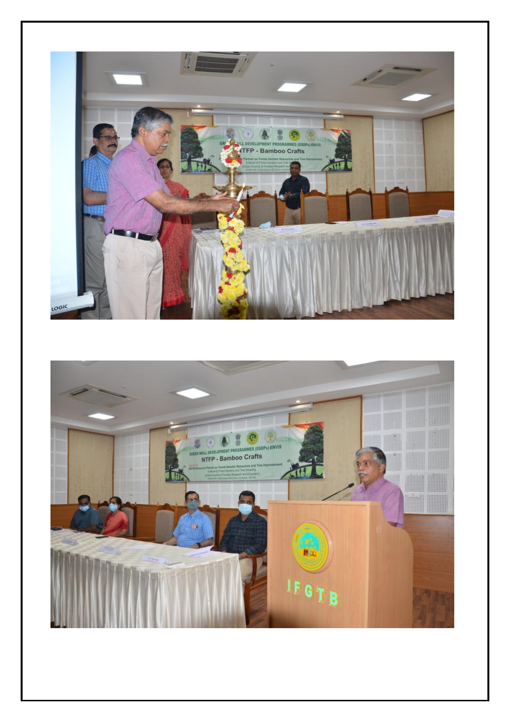

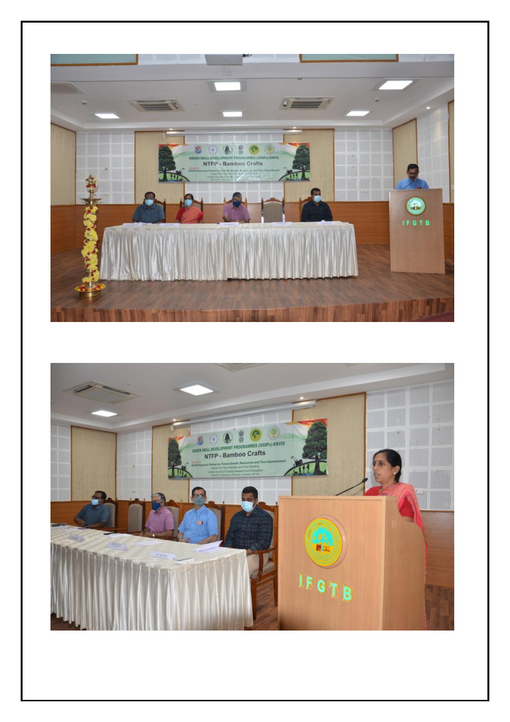

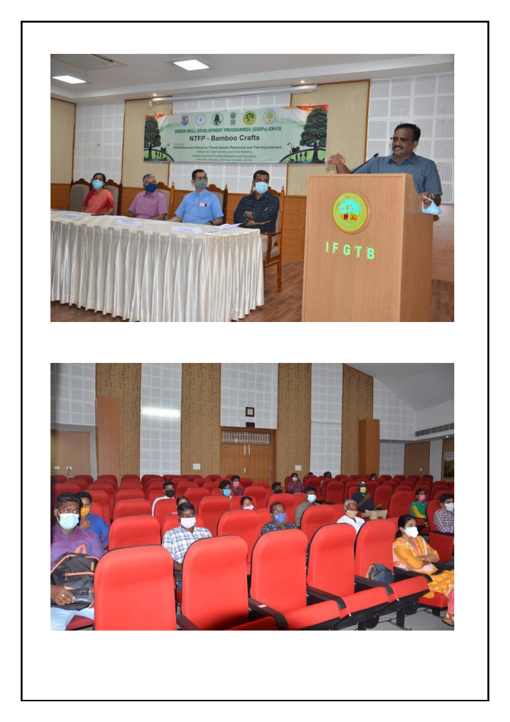